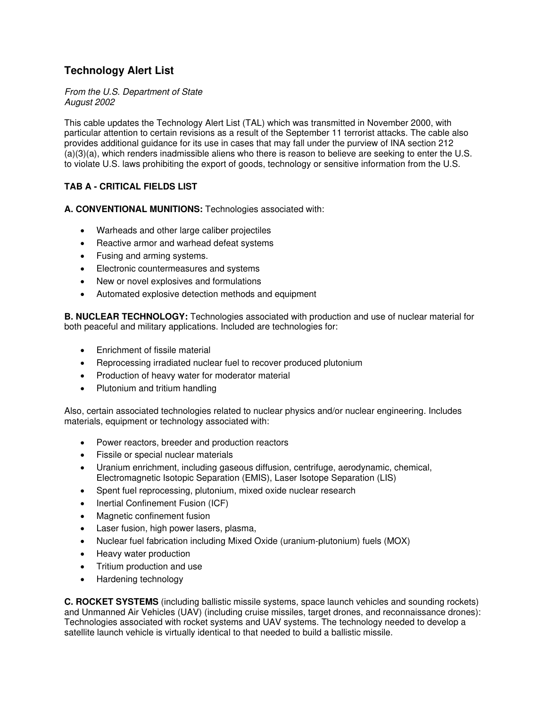## **Technology Alert List**

## From the U.S. Department of State August 2002

This cable updates the Technology Alert List (TAL) which was transmitted in November 2000, with particular attention to certain revisions as a result of the September 11 terrorist attacks. The cable also provides additional guidance for its use in cases that may fall under the purview of INA section 212 (a)(3)(a), which renders inadmissible aliens who there is reason to believe are seeking to enter the U.S. to violate U.S. laws prohibiting the export of goods, technology or sensitive information from the U.S.

## **TAB A - CRITICAL FIELDS LIST**

**A. CONVENTIONAL MUNITIONS:** Technologies associated with:

- Warheads and other large caliber projectiles
- Reactive armor and warhead defeat systems
- Fusing and arming systems.
- Electronic countermeasures and systems
- New or novel explosives and formulations
- Automated explosive detection methods and equipment

**B. NUCLEAR TECHNOLOGY:** Technologies associated with production and use of nuclear material for both peaceful and military applications. Included are technologies for:

- Enrichment of fissile material
- Reprocessing irradiated nuclear fuel to recover produced plutonium
- Production of heavy water for moderator material
- Plutonium and tritium handling

Also, certain associated technologies related to nuclear physics and/or nuclear engineering. Includes materials, equipment or technology associated with:

- Power reactors, breeder and production reactors
- Fissile or special nuclear materials
- Uranium enrichment, including gaseous diffusion, centrifuge, aerodynamic, chemical, Electromagnetic Isotopic Separation (EMIS), Laser Isotope Separation (LIS)
- Spent fuel reprocessing, plutonium, mixed oxide nuclear research
- Inertial Confinement Fusion (ICF)
- Magnetic confinement fusion
- Laser fusion, high power lasers, plasma,
- Nuclear fuel fabrication including Mixed Oxide (uranium-plutonium) fuels (MOX)
- Heavy water production
- Tritium production and use
- Hardening technology

**C. ROCKET SYSTEMS** (including ballistic missile systems, space launch vehicles and sounding rockets) and Unmanned Air Vehicles (UAV) (including cruise missiles, target drones, and reconnaissance drones): Technologies associated with rocket systems and UAV systems. The technology needed to develop a satellite launch vehicle is virtually identical to that needed to build a ballistic missile.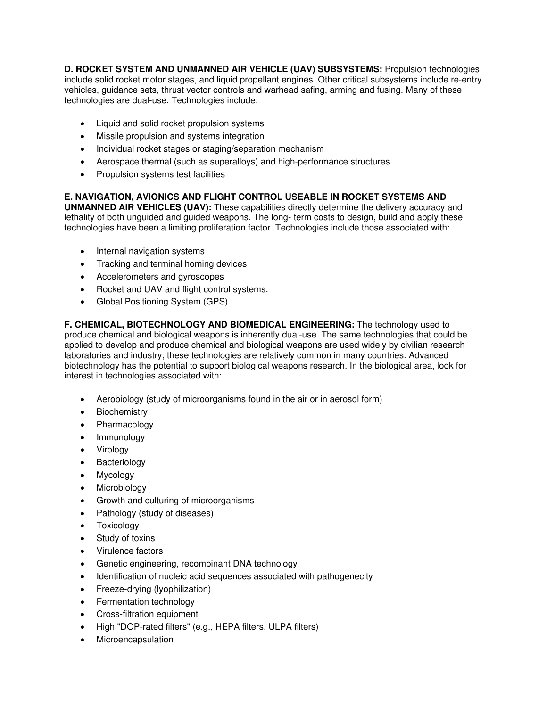**D. ROCKET SYSTEM AND UNMANNED AIR VEHICLE (UAV) SUBSYSTEMS:** Propulsion technologies include solid rocket motor stages, and liquid propellant engines. Other critical subsystems include re-entry vehicles, guidance sets, thrust vector controls and warhead safing, arming and fusing. Many of these technologies are dual-use. Technologies include:

- Liquid and solid rocket propulsion systems
- Missile propulsion and systems integration
- Individual rocket stages or staging/separation mechanism
- Aerospace thermal (such as superalloys) and high-performance structures
- Propulsion systems test facilities

## **E. NAVIGATION, AVIONICS AND FLIGHT CONTROL USEABLE IN ROCKET SYSTEMS AND**

**UNMANNED AIR VEHICLES (UAV):** These capabilities directly determine the delivery accuracy and lethality of both unguided and guided weapons. The long- term costs to design, build and apply these technologies have been a limiting proliferation factor. Technologies include those associated with:

- Internal navigation systems
- Tracking and terminal homing devices
- Accelerometers and gyroscopes
- Rocket and UAV and flight control systems.
- Global Positioning System (GPS)

**F. CHEMICAL, BIOTECHNOLOGY AND BIOMEDICAL ENGINEERING:** The technology used to produce chemical and biological weapons is inherently dual-use. The same technologies that could be applied to develop and produce chemical and biological weapons are used widely by civilian research laboratories and industry; these technologies are relatively common in many countries. Advanced biotechnology has the potential to support biological weapons research. In the biological area, look for interest in technologies associated with:

- Aerobiology (study of microorganisms found in the air or in aerosol form)
- **Biochemistry**
- Pharmacology
- Immunology
- **Virology**
- Bacteriology
- Mycology
- Microbiology
- Growth and culturing of microorganisms
- Pathology (study of diseases)
- Toxicology
- Study of toxins
- Virulence factors
- Genetic engineering, recombinant DNA technology
- Identification of nucleic acid sequences associated with pathogenecity
- Freeze-drying (lyophilization)
- Fermentation technology
- Cross-filtration equipment
- High "DOP-rated filters" (e.g., HEPA filters, ULPA filters)
- Microencapsulation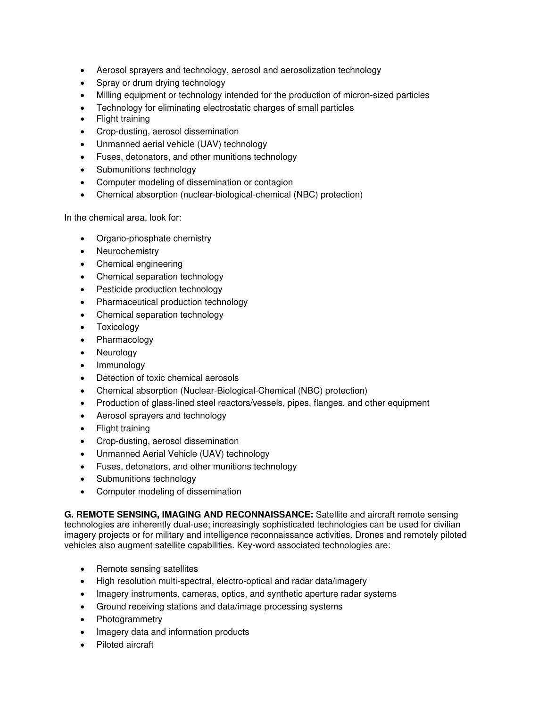- Aerosol sprayers and technology, aerosol and aerosolization technology
- Spray or drum drying technology
- Milling equipment or technology intended for the production of micron-sized particles
- Technology for eliminating electrostatic charges of small particles
- Flight training
- Crop-dusting, aerosol dissemination
- Unmanned aerial vehicle (UAV) technology
- Fuses, detonators, and other munitions technology
- Submunitions technology
- Computer modeling of dissemination or contagion
- Chemical absorption (nuclear-biological-chemical (NBC) protection)

In the chemical area, look for:

- Organo-phosphate chemistry
- Neurochemistry
- Chemical engineering
- Chemical separation technology
- Pesticide production technology
- Pharmaceutical production technology
- Chemical separation technology
- Toxicology
- Pharmacology
- Neurology
- Immunology
- Detection of toxic chemical aerosols
- Chemical absorption (Nuclear-Biological-Chemical (NBC) protection)
- Production of glass-lined steel reactors/vessels, pipes, flanges, and other equipment
- Aerosol sprayers and technology
- Flight training
- Crop-dusting, aerosol dissemination
- Unmanned Aerial Vehicle (UAV) technology
- Fuses, detonators, and other munitions technology
- Submunitions technology
- Computer modeling of dissemination

**G. REMOTE SENSING, IMAGING AND RECONNAISSANCE:** Satellite and aircraft remote sensing technologies are inherently dual-use; increasingly sophisticated technologies can be used for civilian imagery projects or for military and intelligence reconnaissance activities. Drones and remotely piloted vehicles also augment satellite capabilities. Key-word associated technologies are:

- Remote sensing satellites
- High resolution multi-spectral, electro-optical and radar data/imagery
- Imagery instruments, cameras, optics, and synthetic aperture radar systems
- Ground receiving stations and data/image processing systems
- **Photogrammetry**
- Imagery data and information products
- Piloted aircraft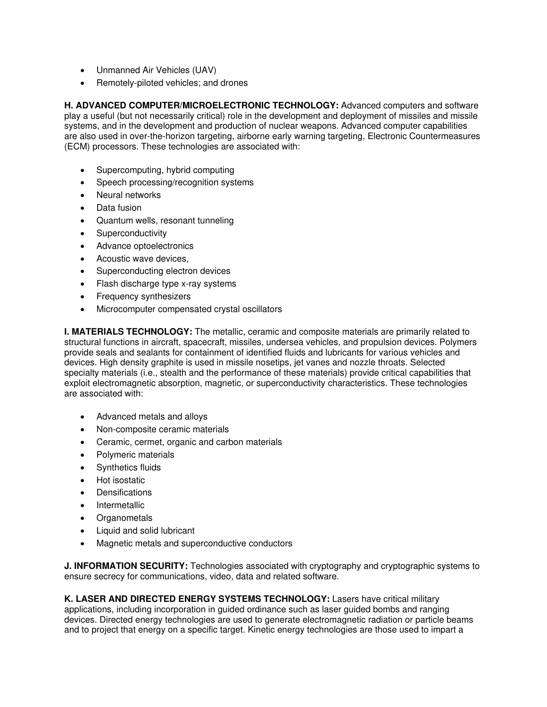- Unmanned Air Vehicles (UAV)
- Remotely-piloted vehicles; and drones

**H. ADVANCED COMPUTER/MICROELECTRONIC TECHNOLOGY:** Advanced computers and software play a useful (but not necessarily critical) role in the development and deployment of missiles and missile systems, and in the development and production of nuclear weapons. Advanced computer capabilities are also used in over-the-horizon targeting, airborne early warning targeting, Electronic Countermeasures (ECM) processors. These technologies are associated with:

- Supercomputing, hybrid computing
- Speech processing/recognition systems
- Neural networks
- Data fusion
- Quantum wells, resonant tunneling
- Superconductivity
- Advance optoelectronics
- Acoustic wave devices,
- Superconducting electron devices
- Flash discharge type x-ray systems
- Frequency synthesizers
- Microcomputer compensated crystal oscillators

**I. MATERIALS TECHNOLOGY:** The metallic, ceramic and composite materials are primarily related to structural functions in aircraft, spacecraft, missiles, undersea vehicles, and propulsion devices. Polymers provide seals and sealants for containment of identified fluids and lubricants for various vehicles and devices. High density graphite is used in missile nosetips, jet vanes and nozzle throats. Selected specialty materials (i.e., stealth and the performance of these materials) provide critical capabilities that exploit electromagnetic absorption, magnetic, or superconductivity characteristics. These technologies are associated with:

- Advanced metals and alloys
- Non-composite ceramic materials
- Ceramic, cermet, organic and carbon materials
- Polymeric materials
- Synthetics fluids
- Hot isostatic
- Densifications
- **Intermetallic**
- Organometals
- Liquid and solid lubricant
- Magnetic metals and superconductive conductors

**J. INFORMATION SECURITY:** Technologies associated with cryptography and cryptographic systems to ensure secrecy for communications, video, data and related software.

**K. LASER AND DIRECTED ENERGY SYSTEMS TECHNOLOGY:** Lasers have critical military applications, including incorporation in guided ordinance such as laser guided bombs and ranging devices. Directed energy technologies are used to generate electromagnetic radiation or particle beams and to project that energy on a specific target. Kinetic energy technologies are those used to impart a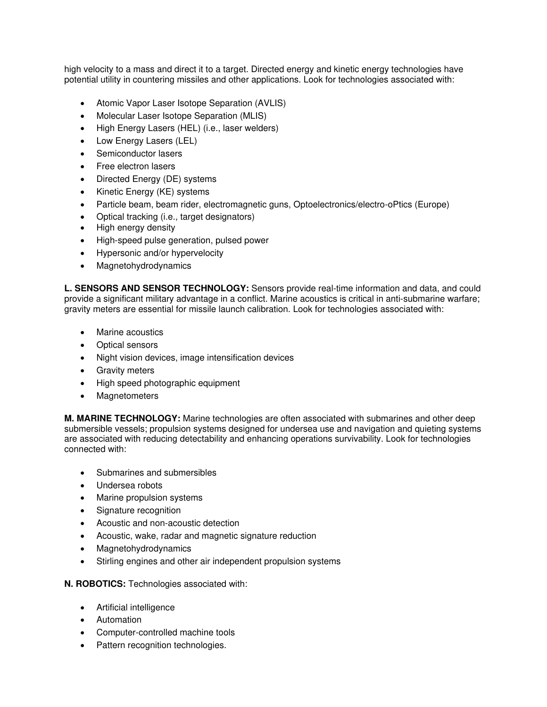high velocity to a mass and direct it to a target. Directed energy and kinetic energy technologies have potential utility in countering missiles and other applications. Look for technologies associated with:

- Atomic Vapor Laser Isotope Separation (AVLIS)
- Molecular Laser Isotope Separation (MLIS)
- High Energy Lasers (HEL) (i.e., laser welders)
- Low Energy Lasers (LEL)
- Semiconductor lasers
- Free electron lasers
- Directed Energy (DE) systems
- Kinetic Energy (KE) systems
- Particle beam, beam rider, electromagnetic guns, Optoelectronics/electro-oPtics (Europe)
- Optical tracking (i.e., target designators)
- High energy density
- High-speed pulse generation, pulsed power
- Hypersonic and/or hypervelocity
- Magnetohydrodynamics

**L. SENSORS AND SENSOR TECHNOLOGY:** Sensors provide real-time information and data, and could provide a significant military advantage in a conflict. Marine acoustics is critical in anti-submarine warfare; gravity meters are essential for missile launch calibration. Look for technologies associated with:

- Marine acoustics
- Optical sensors
- Night vision devices, image intensification devices
- Gravity meters
- High speed photographic equipment
- Magnetometers

**M. MARINE TECHNOLOGY:** Marine technologies are often associated with submarines and other deep submersible vessels; propulsion systems designed for undersea use and navigation and quieting systems are associated with reducing detectability and enhancing operations survivability. Look for technologies connected with:

- Submarines and submersibles
- Undersea robots
- Marine propulsion systems
- Signature recognition
- Acoustic and non-acoustic detection
- Acoustic, wake, radar and magnetic signature reduction
- Magnetohydrodynamics
- Stirling engines and other air independent propulsion systems

**N. ROBOTICS:** Technologies associated with:

- Artificial intelligence
- Automation
- Computer-controlled machine tools
- Pattern recognition technologies.